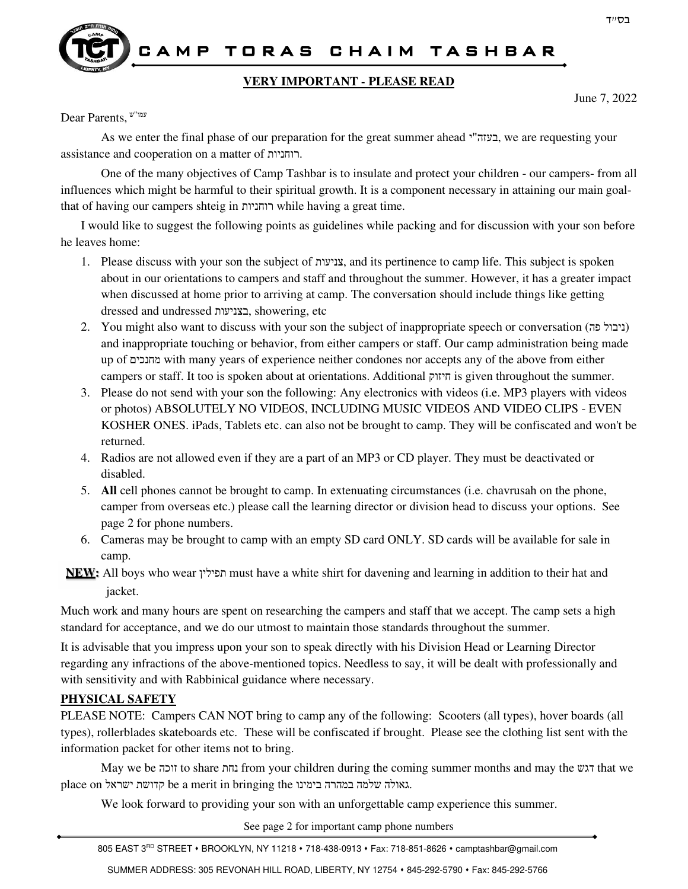

### CAMP TORAS CHAIM TASHBAR

#### **VERY IMPORTANT - PLEASE READ**

June 7, 2022

עמו"ש ,Parents Dear

As we enter the final phase of our preparation for the great summer ahead י"בעזה, we are requesting your assistance and cooperation on a matter of רוחניות.

One of the many objectives of Camp Tashbar is to insulate and protect your children - our campers- from all influences which might be harmful to their spiritual growth. It is a component necessary in attaining our main goalthat of having our campers shteig in רוחניות while having a great time.

I would like to suggest the following points as guidelines while packing and for discussion with your son before he leaves home:

- 1. Please discuss with your son the subject of צניעות, and its pertinence to camp life. This subject is spoken about in our orientations to campers and staff and throughout the summer. However, it has a greater impact when discussed at home prior to arriving at camp. The conversation should include things like getting dressed and undressed בצניעות, showering, etc
- 2. You might also want to discuss with your son the subject of inappropriate speech or conversation (ניבול פה) and inappropriate touching or behavior, from either campers or staff. Our camp administration being made up of מחנכים with many years of experience neither condones nor accepts any of the above from either campers or staff. It too is spoken about at orientations. Additional חיזוק is given throughout the summer.
- 3. Please do not send with your son the following: Any electronics with videos (i.e. MP3 players with videos or photos) ABSOLUTELY NO VIDEOS, INCLUDING MUSIC VIDEOS AND VIDEO CLIPS - EVEN KOSHER ONES. iPads, Tablets etc. can also not be brought to camp. They will be confiscated and won't be returned.
- 4. Radios are not allowed even if they are a part of an MP3 or CD player. They must be deactivated or disabled.
- 5. **All** cell phones cannot be brought to camp. In extenuating circumstances (i.e. chavrusah on the phone, camper from overseas etc.) please call the learning director or division head to discuss your options. See page 2 for phone numbers.
- 6. Cameras may be brought to camp with an empty SD card ONLY. SD cards will be available for sale in camp.

**NEW:** All boys who wear תפילין must have a white shirt for davening and learning in addition to their hat and jacket.

Much work and many hours are spent on researching the campers and staff that we accept. The camp sets a high standard for acceptance, and we do our utmost to maintain those standards throughout the summer.

It is advisable that you impress upon your son to speak directly with his Division Head or Learning Director regarding any infractions of the above-mentioned topics. Needless to say, it will be dealt with professionally and with sensitivity and with Rabbinical guidance where necessary.

#### **PHYSICAL SAFETY**

PLEASE NOTE: Campers CAN NOT bring to camp any of the following: Scooters (all types), hover boards (all types), rollerblades skateboards etc. These will be confiscated if brought. Please see the clothing list sent with the information packet for other items not to bring.

May we be זוכה to share נחת from your children during the coming summer months and may the דגש that we place on ישראל קדושת be a merit in bringing the בימינו במהרה שלמה גאולה.

We look forward to providing your son with an unforgettable camp experience this summer.

See page 2 for important camp phone numbers